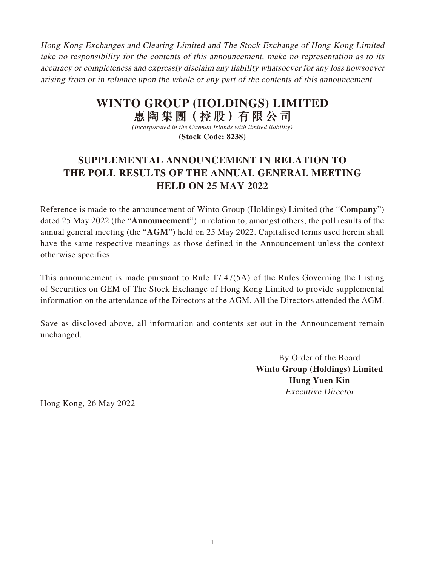Hong Kong Exchanges and Clearing Limited and The Stock Exchange of Hong Kong Limited take no responsibility for the contents of this announcement, make no representation as to its accuracy or completeness and expressly disclaim any liability whatsoever for any loss howsoever arising from or in reliance upon the whole or any part of the contents of this announcement.

## **WINTO GROUP (HOLDINGS) LIMITED 惠陶集團(控股)有限公司**

*(Incorporated in the Cayman Islands with limited liability)* **(Stock Code: 8238)**

## **SUPPLEMENTAL ANNOUNCEMENT IN RELATION TO THE POLL RESULTS OF THE ANNUAL GENERAL MEETING HELD ON 25 MAY 2022**

Reference is made to the announcement of Winto Group (Holdings) Limited (the "**Company**") dated 25 May 2022 (the "**Announcement**") in relation to, amongst others, the poll results of the annual general meeting (the "**AGM**") held on 25 May 2022. Capitalised terms used herein shall have the same respective meanings as those defined in the Announcement unless the context otherwise specifies.

This announcement is made pursuant to Rule 17.47(5A) of the Rules Governing the Listing of Securities on GEM of The Stock Exchange of Hong Kong Limited to provide supplemental information on the attendance of the Directors at the AGM. All the Directors attended the AGM.

Save as disclosed above, all information and contents set out in the Announcement remain unchanged.

> By Order of the Board **Winto Group (Holdings) Limited Hung Yuen Kin** Executive Director

Hong Kong, 26 May 2022